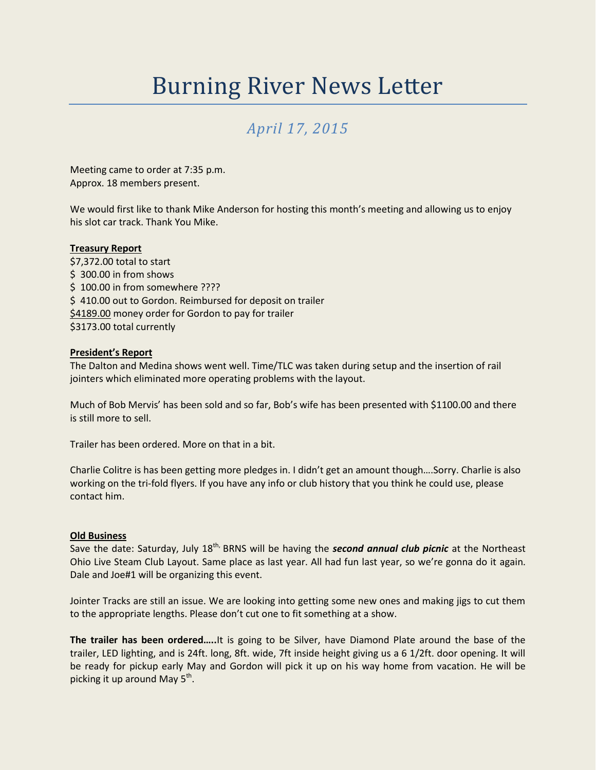# Burning River News Letter

# *April 17, 2015*

Meeting came to order at 7:35 p.m. Approx. 18 members present.

We would first like to thank Mike Anderson for hosting this month's meeting and allowing us to enjoy his slot car track. Thank You Mike.

# **Treasury Report**

\$7,372.00 total to start \$ 300.00 in from shows \$ 100.00 in from somewhere ???? \$410.00 out to Gordon. Reimbursed for deposit on trailer \$4189.00 money order for Gordon to pay for trailer \$3173.00 total currently

#### **President's Report**

The Dalton and Medina shows went well. Time/TLC was taken during setup and the insertion of rail jointers which eliminated more operating problems with the layout.

Much of Bob Mervis' has been sold and so far, Bob's wife has been presented with \$1100.00 and there is still more to sell.

Trailer has been ordered. More on that in a bit.

Charlie Colitre is has been getting more pledges in. I didn't get an amount though….Sorry. Charlie is also working on the tri-fold flyers. If you have any info or club history that you think he could use, please contact him.

#### **Old Business**

Save the date: Saturday, July 18<sup>th,</sup> BRNS will be having the **second annual club picnic** at the Northeast Ohio Live Steam Club Layout. Same place as last year. All had fun last year, so we're gonna do it again. Dale and Joe#1 will be organizing this event.

Jointer Tracks are still an issue. We are looking into getting some new ones and making jigs to cut them to the appropriate lengths. Please don't cut one to fit something at a show.

**The trailer has been ordered…..**It is going to be Silver, have Diamond Plate around the base of the trailer, LED lighting, and is 24ft. long, 8ft. wide, 7ft inside height giving us a 6 1/2ft. door opening. It will be ready for pickup early May and Gordon will pick it up on his way home from vacation. He will be picking it up around May  $5^{\text{th}}$ .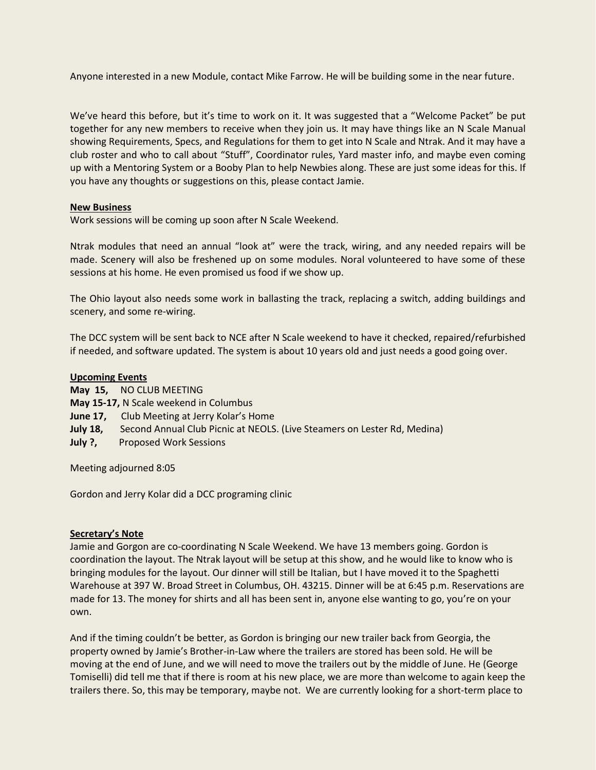Anyone interested in a new Module, contact Mike Farrow. He will be building some in the near future.

We've heard this before, but it's time to work on it. It was suggested that a "Welcome Packet" be put together for any new members to receive when they join us. It may have things like an N Scale Manual showing Requirements, Specs, and Regulations for them to get into N Scale and Ntrak. And it may have a club roster and who to call about "Stuff", Coordinator rules, Yard master info, and maybe even coming up with a Mentoring System or a Booby Plan to help Newbies along. These are just some ideas for this. If you have any thoughts or suggestions on this, please contact Jamie.

# **New Business**

Work sessions will be coming up soon after N Scale Weekend.

Ntrak modules that need an annual "look at" were the track, wiring, and any needed repairs will be made. Scenery will also be freshened up on some modules. Noral volunteered to have some of these sessions at his home. He even promised us food if we show up.

The Ohio layout also needs some work in ballasting the track, replacing a switch, adding buildings and scenery, and some re-wiring.

The DCC system will be sent back to NCE after N Scale weekend to have it checked, repaired/refurbished if needed, and software updated. The system is about 10 years old and just needs a good going over.

# **Upcoming Events**

- **May 15,** NO CLUB MEETING
- **May 15-17,** N Scale weekend in Columbus
- **June 17,** Club Meeting at Jerry Kolar's Home
- **July 18,** Second Annual Club Picnic at NEOLS. (Live Steamers on Lester Rd, Medina)
- **July ?, Proposed Work Sessions**

Meeting adjourned 8:05

Gordon and Jerry Kolar did a DCC programing clinic

#### **Secretary's Note**

Jamie and Gorgon are co-coordinating N Scale Weekend. We have 13 members going. Gordon is coordination the layout. The Ntrak layout will be setup at this show, and he would like to know who is bringing modules for the layout. Our dinner will still be Italian, but I have moved it to the Spaghetti Warehouse at 397 W. Broad Street in Columbus, OH. 43215. Dinner will be at 6:45 p.m. Reservations are made for 13. The money for shirts and all has been sent in, anyone else wanting to go, you're on your own.

And if the timing couldn't be better, as Gordon is bringing our new trailer back from Georgia, the property owned by Jamie's Brother-in-Law where the trailers are stored has been sold. He will be moving at the end of June, and we will need to move the trailers out by the middle of June. He (George Tomiselli) did tell me that if there is room at his new place, we are more than welcome to again keep the trailers there. So, this may be temporary, maybe not. We are currently looking for a short-term place to